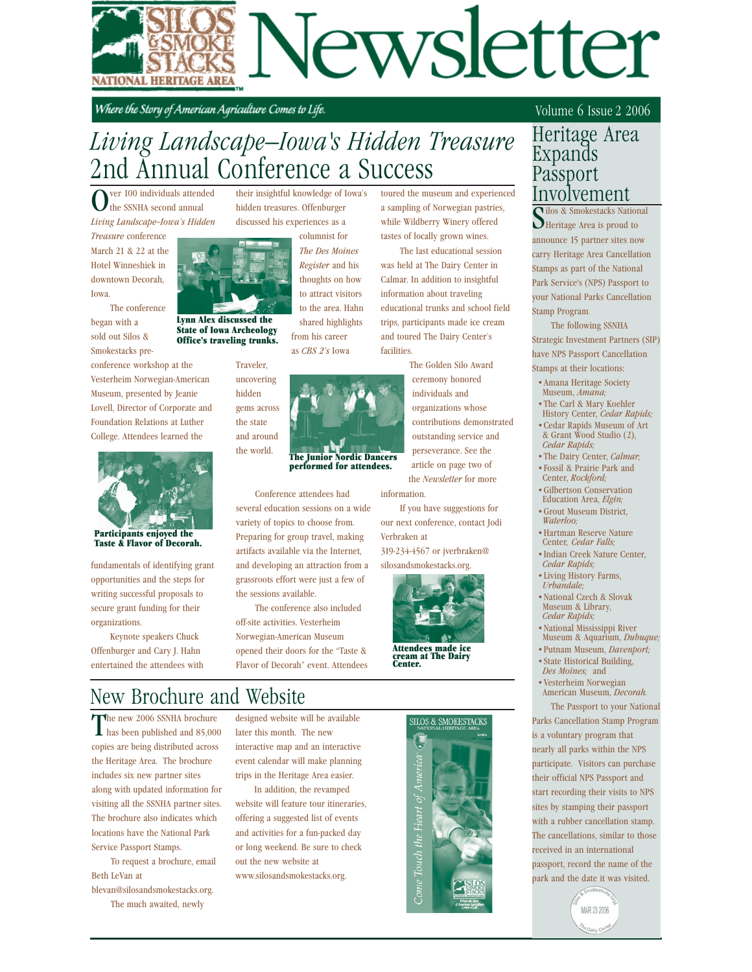

Where the Story of American Agriculture Comes to Life.

# *Living Landscape—Iowa's Hidden Treasure* 2nd Annual Conference a Success

their insightful knowledge of Iowa's hidden treasures. Offenburger discussed his experiences as a

ver 100 individuals attended the SSNHA second annual *Living Landscape--Iowa's Hidden* 

*Treasure* conference March 21 & 22 at the Hotel Winneshiek in downtown Decorah, Iowa.

 The conference began with a sold out Silos & Smokestacks pre-



State of Iowa Archeology Office's traveling trunks.

conference workshop at the Vesterheim Norwegian-American Museum, presented by Jeanie Lovell, Director of Corporate and Foundation Relations at Luther College. Attendees learned the



Participants enjoyed the Taste & Flavor of Decorah.

fundamentals of identifying grant opportunities and the steps for writing successful proposals to secure grant funding for their organizations.

 Keynote speakers Chuck Offenburger and Cary J. Hahn entertained the attendees with columnist for *The Des Moines Register* and his thoughts on how to attract visitors

from his career as *CBS 2's* Iowa Lynn Alex discussed the

> Traveler, the world.

uncovering hidden gems across the state and around

> The Junior Nordic Dancers performed for attendees.

shared highlights

 Conference attendees had several education sessions on a wide variety of topics to choose from. Preparing for group travel, making artifacts available via the Internet, and developing an attraction from a grassroots effort were just a few of the sessions available.

 The conference also included off-site activities. Vesterheim Norwegian-American Museum opened their doors for the "Taste & Flavor of Decorah" event. Attendees

to the area. Hahn was held at The Dairy Center in Calmar. In addition to insightful information about traveling educational trunks and school field

trips, participants made ice cream and toured The Dairy Center's facilities.

toured the museum and experienced a sampling of Norwegian pastries, while Wildberry Winery offered tastes of locally grown wines. The last educational session

 The Golden Silo Award ceremony honored individuals and organizations whose contributions demonstrated outstanding service and perseverance. See the article on page two of the *Newsletter* for more information.

 If you have suggestions for our next conference, contact Jodi Verbraken at 319-234-4567 or jverbraken@

silosandsmokestacks.org.



Attendees made ice cream at The Dairy Center.

# New Brochure and Website

The new 2006 SSNHA brochure has been published and 85,000 copies are being distributed across the Heritage Area. The brochure includes six new partner sites along with updated information for visiting all the SSNHA partner sites. The brochure also indicates which locations have the National Park Service Passport Stamps.

 To request a brochure, email Beth LeVan at

blevan@silosandsmokestacks.org. The much awaited, newly

designed website will be available later this month. The new interactive map and an interactive event calendar will make planning trips in the Heritage Area easier.

 In addition, the revamped website will feature tour itineraries, offering a suggested list of events and activities for a fun-packed day or long weekend. Be sure to check out the new website at www.silosandsmokestacks.org.



#### Volume 6 Issue 2 2006

#### Heritage Area Expands Passport Involvement

Tilos & Smokestacks Nation<br>Heritage Area is proud to los & Smokestacks National announce 15 partner sites now carry Heritage Area Cancellation Stamps as part of the National Park Service's (NPS) Passport to your National Parks Cancellation Stamp Program.

 The following SSNHA Strategic Investment Partners (SIP)

have NPS Passport Cancellation Stamps at their locations:

- •Amana Heritage Society Museum, *Amana;*
- •The Carl & Mary Koehler
- History Center, *Cedar Rapids;*
- •Cedar Rapids Museum of Art & Grant Wood Studio (2), *Cedar Rapids;*
- •The Dairy Center, *Calmar;*
- •Fossil & Prairie Park and Center, *Rockford;*
- •Gilbertson Conservation Education Area, *Elgin;*
- •Grout Museum District,  *Waterloo;*
- •Hartman Reserve Nature Center*, Cedar Falls;*
- •Indian Creek Nature Center, *Cedar Rapids;*
- •Living History Farms, *Urbandale;*
- •National Czech & Slovak Museum & Library,  *Cedar Rapids;*
- •National Mississippi River Museum & Aquarium, *Dubuque;*
- •Putnam Museum, *Davenport;*
- •State Historical Building,
- *Des Moines;* and
- •Vesterheim Norwegian American Museum, *Decorah.* The Passport to your National

Parks Cancellation Stamp Program is a voluntary program that nearly all parks within the NPS participate. Visitors can purchase their official NPS Passport and start recording their visits to NPS sites by stamping their passport with a rubber cancellation stamp. The cancellations, similar to those received in an international passport, record the name of the park and the date it was visited.

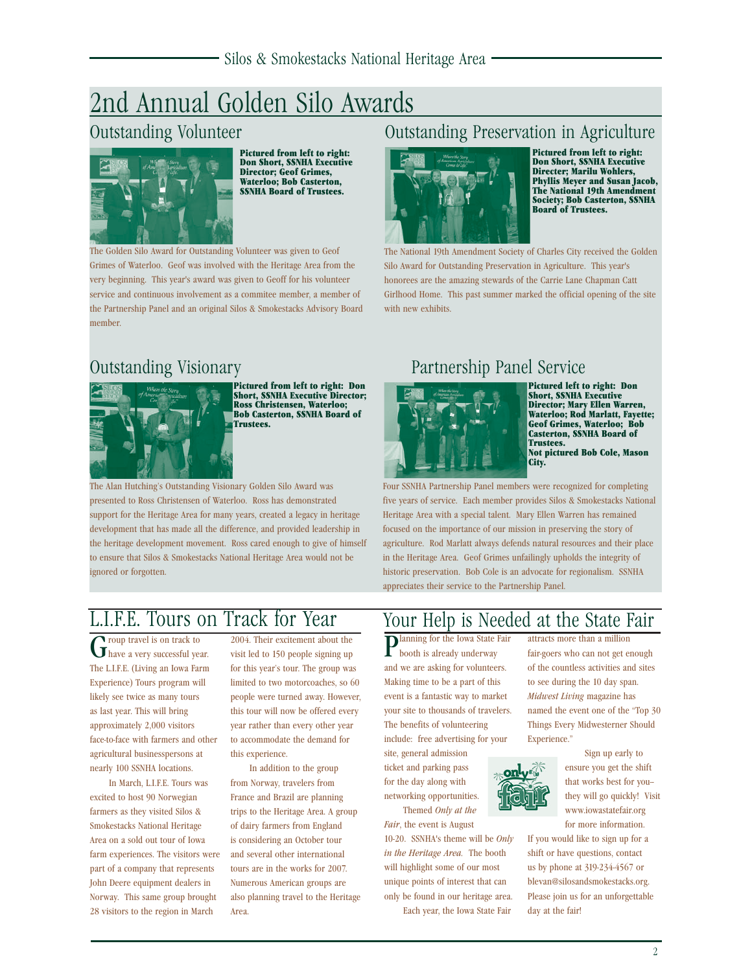# 2nd Annual Golden Silo Awards



Pictured from left to right: Don Short, SSNHA Executive Director; Geof Grimes, Waterloo; Bob Casterton, SSNHA Board of Trustees.

The Golden Silo Award for Outstanding Volunteer was given to Geof Grimes of Waterloo. Geof was involved with the Heritage Area from the very beginning. This year's award was given to Geoff for his volunteer service and continuous involvement as a commitee member, a member of the Partnership Panel and an original Silos & Smokestacks Advisory Board member.



Pictured from left to right: Don Short, SSNHA Executive Director; Ross Christensen, Waterloo; Bob Casterton, SSNHA Board of Trustees.

The Alan Hutching's Outstanding Visionary Golden Silo Award was presented to Ross Christensen of Waterloo. Ross has demonstrated support for the Heritage Area for many years, created a legacy in heritage development that has made all the difference, and provided leadership in the heritage development movement. Ross cared enough to give of himself to ensure that Silos & Smokestacks National Heritage Area would not be ignored or forgotten.

#### Outstanding Volunteer **Outstanding Preservation in Agriculture**



Pictured from left to right: Don Short, SSNHA Executive Directer; Marilu Wohlers, Phyllis Meyer and Susan Jacob, The National 19th Amendment Society; Bob Casterton, SSNHA Board of Trustees.

The National 19th Amendment Society of Charles City received the Golden Silo Award for Outstanding Preservation in Agriculture. This year's honorees are the amazing stewards of the Carrie Lane Chapman Catt Girlhood Home. This past summer marked the official opening of the site with new exhibits.

## Outstanding Visionary Partnership Panel Service



Pictured left to right: Don Short, SSNHA Executive Director; Mary Ellen Warren, Waterloo; Rod Marlatt, Fayette; Geof Grimes, Waterloo; Bob Casterton, SSNHA Board of Trustees. Not pictured Bob Cole, Mason City.

Four SSNHA Partnership Panel members were recognized for completing five years of service. Each member provides Silos & Smokestacks National Heritage Area with a special talent. Mary Ellen Warren has remained focused on the importance of our mission in preserving the story of agriculture. Rod Marlatt always defends natural resources and their place in the Heritage Area. Geof Grimes unfailingly upholds the integrity of historic preservation. Bob Cole is an advocate for regionalism. SSNHA appreciates their service to the Partnership Panel.

# L.I.F.E. Tours on Track for Year

Group travel is on track to<br>Thave a very successful year. The L.I.F.E. (Living an Iowa Farm Experience) Tours program will likely see twice as many tours as last year. This will bring approximately 2,000 visitors face-to-face with farmers and other agricultural businesspersons at nearly 100 SSNHA locations.

 In March, L.I.F.E. Tours was excited to host 90 Norwegian farmers as they visited Silos & Smokestacks National Heritage Area on a sold out tour of Iowa farm experiences. The visitors were part of a company that represents John Deere equipment dealers in Norway. This same group brought 28 visitors to the region in March

2004. Their excitement about the visit led to 150 people signing up for this year's tour. The group was limited to two motorcoaches, so 60 people were turned away. However, this tour will now be offered every year rather than every other year to accommodate the demand for this experience.

 In addition to the group from Norway, travelers from France and Brazil are planning trips to the Heritage Area. A group of dairy farmers from England is considering an October tour and several other international tours are in the works for 2007. Numerous American groups are also planning travel to the Heritage Area.

## Your Help is Needed at the State Fair

Planning for the Iowa State Fair booth is already underway and we are asking for volunteers. Making time to be a part of this event is a fantastic way to market your site to thousands of travelers. The benefits of volunteering include: free advertising for your

site, general admission ticket and parking pass for the day along with networking opportunities. Themed *Only at the* 

*Fair*, the event is August 10-20. SSNHA's theme will be *Only in the Heritage Area.* The booth will highlight some of our most unique points of interest that can only be found in our heritage area.

Each year, the Iowa State Fair

attracts more than a million fair-goers who can not get enough of the countless activities and sites to see during the 10 day span. *Midwest Living* magazine has named the event one of the "Top 30 Things Every Midwesterner Should Experience."



ensure you get the shift that works best for you- they will go quickly! Visit for more information.

If you would like to sign up for a shift or have questions, contact us by phone at 319-234-4567 or blevan@silosandsmokestacks.org. Please join us for an unforgettable day at the fair!

 Sign up early to www.iowastatefair.org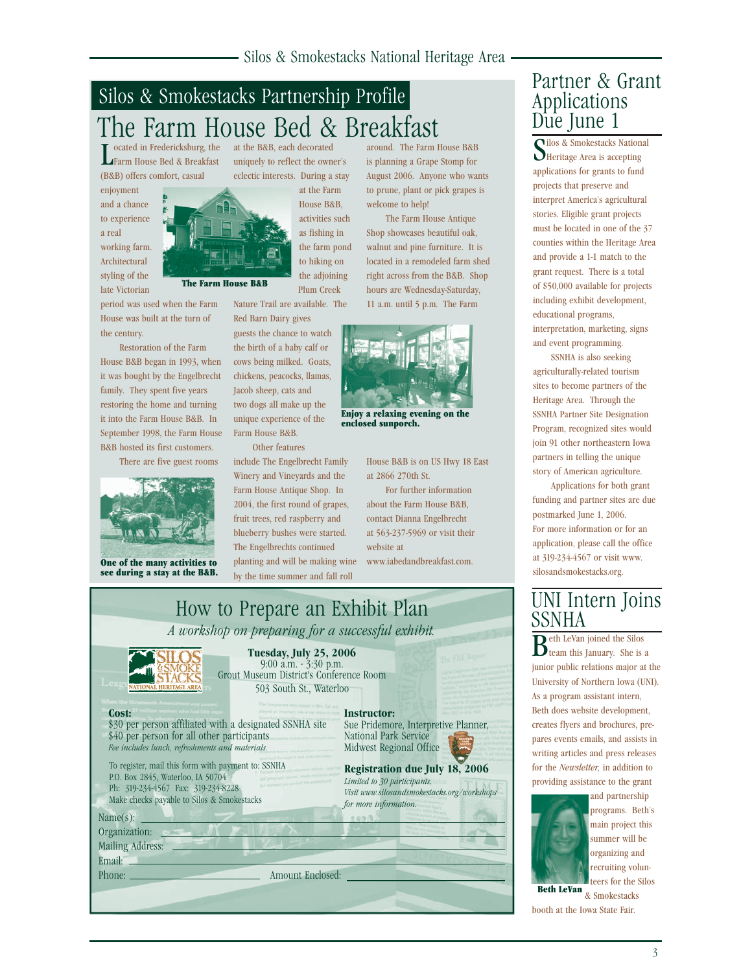# Silos & Smokestacks Partnership Profile The Farm House Bed & Breakfast

L ocated in Fredericksburg, the Farm House Bed & Breakfast ocated in Fredericksburg, the (B&B) offers comfort, casual

enjoyment and a chance to experience a real working farm. Architectural styling of the late Victorian

period was used when the Farm House was built at the turn of the century.

The Farm House B&B

 Restoration of the Farm House B&B began in 1993, when it was bought by the Engelbrecht family. They spent five years restoring the home and turning it into the Farm House B&B. In September 1998, the Farm House B&B hosted its first customers.

There are five guest rooms



One of the many activities to see during a stay at the B&B.

at the B&B, each decorated uniquely to reflect the owner's

eclectic interests. During a stay at the Farm House B&B, activities such as fishing in the farm pond to hiking on the adjoining Plum Creek

Nature Trail are available. The Red Barn Dairy gives

guests the chance to watch the birth of a baby calf or cows being milked. Goats, chickens, peacocks, llamas, Jacob sheep, cats and two dogs all make up the unique experience of the Farm House B&B.

Other features

include The Engelbrecht Family Winery and Vineyards and the Farm House Antique Shop. In 2004, the first round of grapes, fruit trees, red raspberry and blueberry bushes were started. The Engelbrechts continued planting and will be making wine by the time summer and fall roll

around. The Farm House B&B is planning a Grape Stomp for August 2006. Anyone who wants to prune, plant or pick grapes is welcome to help!

 The Farm House Antique Shop showcases beautiful oak, walnut and pine furniture. It is located in a remodeled farm shed right across from the B&B. Shop hours are Wednesday-Saturday, 11 a.m. until 5 p.m. The Farm



enclosed sunporch.

House B&B is on US Hwy 18 East at 2866 270th St.

 For further information about the Farm House B&B, contact Dianna Engelbrecht at 563-237-5969 or visit their website at www.iabedandbreakfast.com.



## Partner & Grant Applications Due June 1

Silos & Smokestacks Nations<br>Superitage Area is accepting ilos & Smokestacks National applications for grants to fund projects that preserve and interpret America's agricultural stories. Eligible grant projects must be located in one of the 37 counties within the Heritage Area and provide a 1-1 match to the grant request. There is a total of \$50,000 available for projects including exhibit development, educational programs, interpretation, marketing, signs

 SSNHA is also seeking agriculturally-related tourism sites to become partners of the Heritage Area. Through the SSNHA Partner Site Designation Program, recognized sites would join 91 other northeastern Iowa partners in telling the unique story of American agriculture.

and event programming.

 Applications for both grant funding and partner sites are due postmarked June 1, 2006. For more information or for an application, please call the office at 319-234-4567 or visit www. silosandsmokestacks.org.

### UNI Intern Joins SSNHA

 $B^{\text{eth}}$  LeVan joined the Silos team this January. She is a junior public relations major at the University of Northern Iowa (UNI). As a program assistant intern, Beth does website development, creates flyers and brochures, prepares events emails, and assists in writing articles and press releases for the *Newsletter,* in addition to providing assistance to the grant



and partnership programs. Beth's main project this summer will be organizing and recruiting volunteers for the Silos

**Beth LeVan** & Smokestacks booth at the Iowa State Fair.